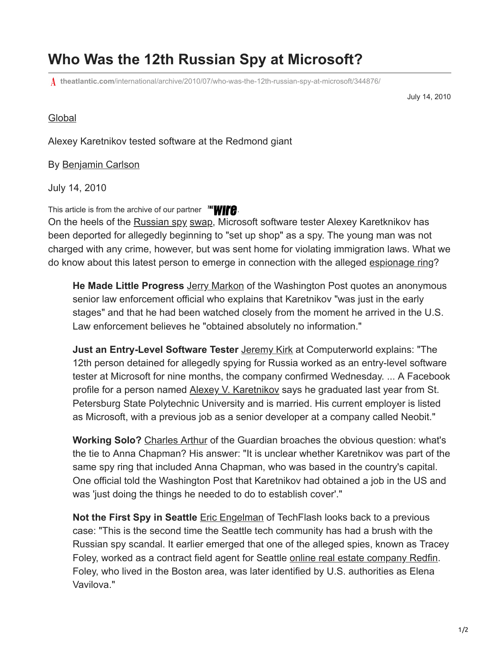## **Who Was the 12th Russian Spy at Microsoft?**

**theatlantic.com**[/international/archive/2010/07/who-was-the-12th-russian-spy-at-microsoft/344876/](https://www.theatlantic.com/international/archive/2010/07/who-was-the-12th-russian-spy-at-microsoft/344876/)

July 14, 2010

## **[Global](https://www.theatlantic.com/international/)**

Alexey Karetnikov tested software at the Redmond giant

## By [Benjamin Carlson](https://www.theatlantic.com/author/ben-carlson/)

July 14, 2010

This article is from the archive of our partner  $H = \frac{H}{L}$ [.](http://www.thewire.com/)

On the heels of the [Russian spy](http://atlanticwire.theatlantic.com/opinions/view/opinion/The-Secret-Lives-of-Deep-Cover-Russian-Spies-4175) [swap](http://www.theatlanticwire.com/opinions/view/opinion/Is-US-Getting-Ripped-Off-in-Russian-Spy-Swap-4249), Microsoft software tester Alexey Karetknikov has been deported for allegedly beginning to "set up shop" as a spy. The young man was not charged with any crime, however, but was sent home for violating immigration laws. What we do know about this latest person to emerge in connection with the alleged [espionage ring](http://www.theatlanticwire.com/features/view/feature/Friedman-I-Wish-Cool-Countries-Spied-on-Us-1601)?

**He Made Little Progress** [Jerry Markon](http://www.washingtonpost.com/wp-dyn/content/article/2010/07/13/AR2010071302840.html) of the Washington Post quotes an anonymous senior law enforcement official who explains that Karetnikov "was just in the early stages" and that he had been watched closely from the moment he arrived in the U.S. Law enforcement believes he "obtained absolutely no information."

**Just an Entry-Level Software Tester** [Jeremy Kirk](http://news.idg.no/cw/art.cfm?id=D1AF2F66-1A64-67EA-E4D22DAEB039C882) at Computerworld explains: "The 12th person detained for allegedly spying for Russia worked as an entry-level software tester at Microsoft for nine months, the company confirmed Wednesday. ... A Facebook profile for a person named **Alexey V. Karetnikov** says he graduated last year from St. Petersburg State Polytechnic University and is married. His current employer is listed as Microsoft, with a previous job as a senior developer at a company called Neobit."

**Working Solo?** [Charles Arthur](http://www.guardian.co.uk/technology/2010/jul/14/russian-spy-worked-for-microsoft) of the Guardian broaches the obvious question: what's the tie to Anna Chapman? His answer: "It is unclear whether Karetnikov was part of the same spy ring that included Anna Chapman, who was based in the country's capital. One official told the Washington Post that Karetnikov had obtained a job in the US and was 'just doing the things he needed to do to establish cover'."

**Not the First Spy in Seattle** [Eric Engelman](http://www.techflash.com/seattle/2010/07/reports_12th_russian_spy_worked_at_microsoft.html) of TechFlash looks back to a previous case: "This is the second time the Seattle tech community has had a brush with the Russian spy scandal. It earlier emerged that one of the alleged spies, known as Tracey Foley, worked as a contract field agent for Seattle [online real estate company Redfin](http://www.techflash.com/seattle/2010/06/redfin_real_estate_agent_busted_in_russian_spy_ring.html). Foley, who lived in the Boston area, was later identified by U.S. authorities as Elena Vavilova."